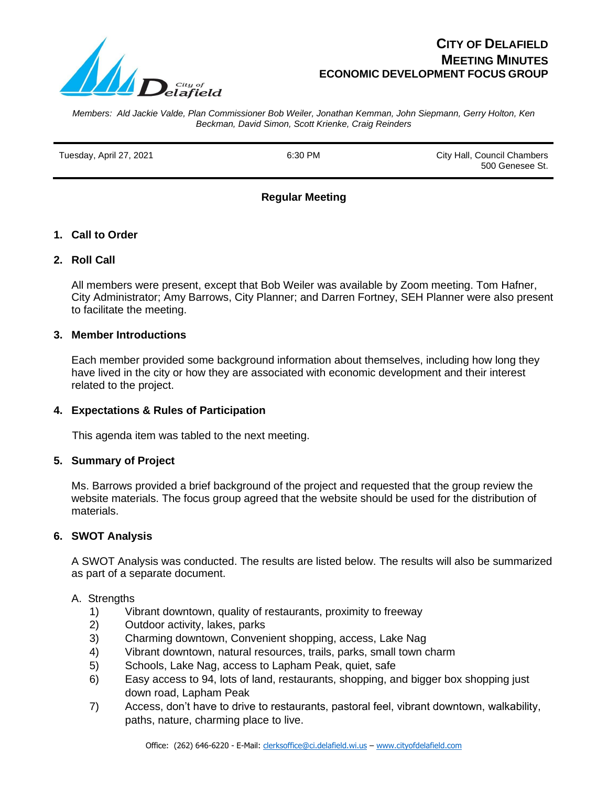

# **CITY OF DELAFIELD MEETING MINUTES ECONOMIC DEVELOPMENT FOCUS GROUP**

*Members: Ald Jackie Valde, Plan Commissioner Bob Weiler, Jonathan Kemman, John Siepmann, Gerry Holton, Ken Beckman, David Simon, Scott Krienke, Craig Reinders*

Tuesday, April 27, 2021 6:30 PM City Hall, Council Chambers 500 Genesee St.

# **Regular Meeting**

#### **1. Call to Order**

## **2. Roll Call**

All members were present, except that Bob Weiler was available by Zoom meeting. Tom Hafner, City Administrator; Amy Barrows, City Planner; and Darren Fortney, SEH Planner were also present to facilitate the meeting.

#### **3. Member Introductions**

Each member provided some background information about themselves, including how long they have lived in the city or how they are associated with economic development and their interest related to the project.

#### **4. Expectations & Rules of Participation**

This agenda item was tabled to the next meeting.

#### **5. Summary of Project**

Ms. Barrows provided a brief background of the project and requested that the group review the website materials. The focus group agreed that the website should be used for the distribution of materials.

#### **6. SWOT Analysis**

A SWOT Analysis was conducted. The results are listed below. The results will also be summarized as part of a separate document.

#### A. Strengths

- 1) Vibrant downtown, quality of restaurants, proximity to freeway
- 2) Outdoor activity, lakes, parks
- 3) Charming downtown, Convenient shopping, access, Lake Nag
- 4) Vibrant downtown, natural resources, trails, parks, small town charm
- 5) Schools, Lake Nag, access to Lapham Peak, quiet, safe
- 6) Easy access to 94, lots of land, restaurants, shopping, and bigger box shopping just down road, Lapham Peak
- 7) Access, don't have to drive to restaurants, pastoral feel, vibrant downtown, walkability, paths, nature, charming place to live.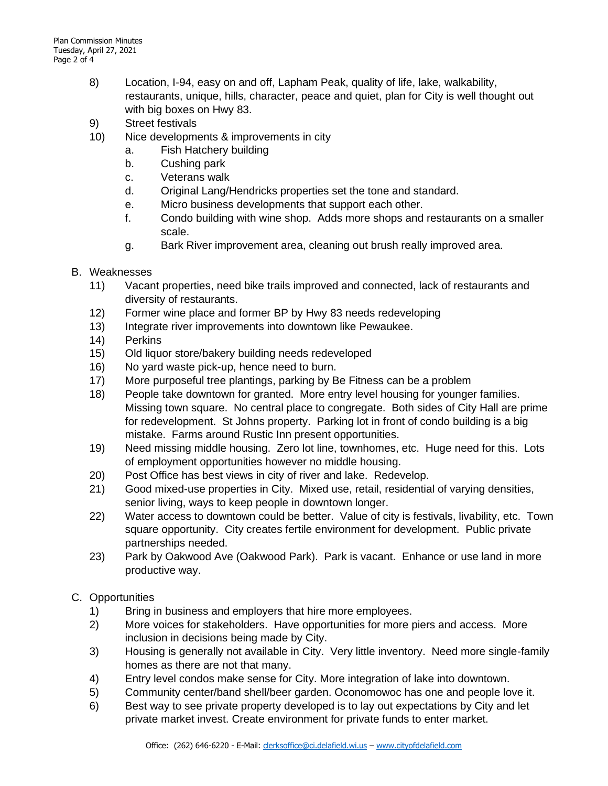- 8) Location, I-94, easy on and off, Lapham Peak, quality of life, lake, walkability, restaurants, unique, hills, character, peace and quiet, plan for City is well thought out with big boxes on Hwy 83.
- 9) Street festivals
- 10) Nice developments & improvements in city
	- a. Fish Hatchery building
	- b. Cushing park
	- c. Veterans walk
	- d. Original Lang/Hendricks properties set the tone and standard.
	- e. Micro business developments that support each other.
	- f. Condo building with wine shop. Adds more shops and restaurants on a smaller scale.
	- g. Bark River improvement area, cleaning out brush really improved area.
- B. Weaknesses
	- 11) Vacant properties, need bike trails improved and connected, lack of restaurants and diversity of restaurants.
	- 12) Former wine place and former BP by Hwy 83 needs redeveloping
	- 13) Integrate river improvements into downtown like Pewaukee.
	- 14) Perkins
	- 15) Old liquor store/bakery building needs redeveloped
	- 16) No yard waste pick-up, hence need to burn.
	- 17) More purposeful tree plantings, parking by Be Fitness can be a problem
	- 18) People take downtown for granted. More entry level housing for younger families. Missing town square. No central place to congregate. Both sides of City Hall are prime for redevelopment. St Johns property. Parking lot in front of condo building is a big mistake. Farms around Rustic Inn present opportunities.
	- 19) Need missing middle housing. Zero lot line, townhomes, etc. Huge need for this. Lots of employment opportunities however no middle housing.
	- 20) Post Office has best views in city of river and lake. Redevelop.
	- 21) Good mixed-use properties in City. Mixed use, retail, residential of varying densities, senior living, ways to keep people in downtown longer.
	- 22) Water access to downtown could be better. Value of city is festivals, livability, etc. Town square opportunity. City creates fertile environment for development. Public private partnerships needed.
	- 23) Park by Oakwood Ave (Oakwood Park). Park is vacant. Enhance or use land in more productive way.
- C. Opportunities
	- 1) Bring in business and employers that hire more employees.
	- 2) More voices for stakeholders. Have opportunities for more piers and access. More inclusion in decisions being made by City.
	- 3) Housing is generally not available in City. Very little inventory. Need more single-family homes as there are not that many.
	- 4) Entry level condos make sense for City. More integration of lake into downtown.
	- 5) Community center/band shell/beer garden. Oconomowoc has one and people love it.
	- 6) Best way to see private property developed is to lay out expectations by City and let private market invest. Create environment for private funds to enter market.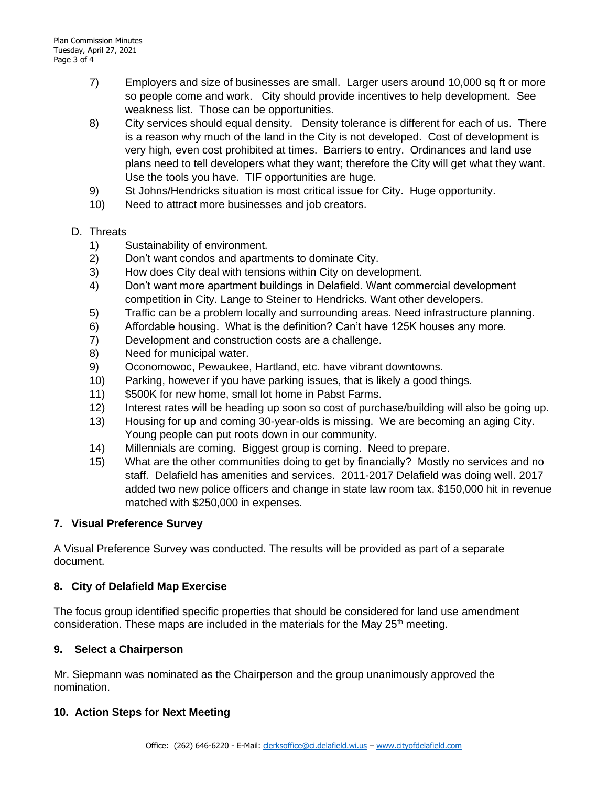- 7) Employers and size of businesses are small. Larger users around 10,000 sq ft or more so people come and work. City should provide incentives to help development. See weakness list. Those can be opportunities.
- 8) City services should equal density. Density tolerance is different for each of us. There is a reason why much of the land in the City is not developed. Cost of development is very high, even cost prohibited at times. Barriers to entry. Ordinances and land use plans need to tell developers what they want; therefore the City will get what they want. Use the tools you have. TIF opportunities are huge.
- 9) St Johns/Hendricks situation is most critical issue for City. Huge opportunity.
- 10) Need to attract more businesses and job creators.
- D. Threats
	- 1) Sustainability of environment.
	- 2) Don't want condos and apartments to dominate City.
	- 3) How does City deal with tensions within City on development.
	- 4) Don't want more apartment buildings in Delafield. Want commercial development competition in City. Lange to Steiner to Hendricks. Want other developers.
	- 5) Traffic can be a problem locally and surrounding areas. Need infrastructure planning.
	- 6) Affordable housing. What is the definition? Can't have 125K houses any more.
	- 7) Development and construction costs are a challenge.
	- 8) Need for municipal water.
	- 9) Oconomowoc, Pewaukee, Hartland, etc. have vibrant downtowns.
	- 10) Parking, however if you have parking issues, that is likely a good things.
	- 11) \$500K for new home, small lot home in Pabst Farms.
	- 12) Interest rates will be heading up soon so cost of purchase/building will also be going up.
	- 13) Housing for up and coming 30-year-olds is missing. We are becoming an aging City. Young people can put roots down in our community.
	- 14) Millennials are coming. Biggest group is coming. Need to prepare.
	- 15) What are the other communities doing to get by financially? Mostly no services and no staff. Delafield has amenities and services. 2011-2017 Delafield was doing well. 2017 added two new police officers and change in state law room tax. \$150,000 hit in revenue matched with \$250,000 in expenses.

# **7. Visual Preference Survey**

A Visual Preference Survey was conducted. The results will be provided as part of a separate document.

# **8. City of Delafield Map Exercise**

The focus group identified specific properties that should be considered for land use amendment consideration. These maps are included in the materials for the May  $25<sup>th</sup>$  meeting.

# **9. Select a Chairperson**

Mr. Siepmann was nominated as the Chairperson and the group unanimously approved the nomination.

# **10. Action Steps for Next Meeting**